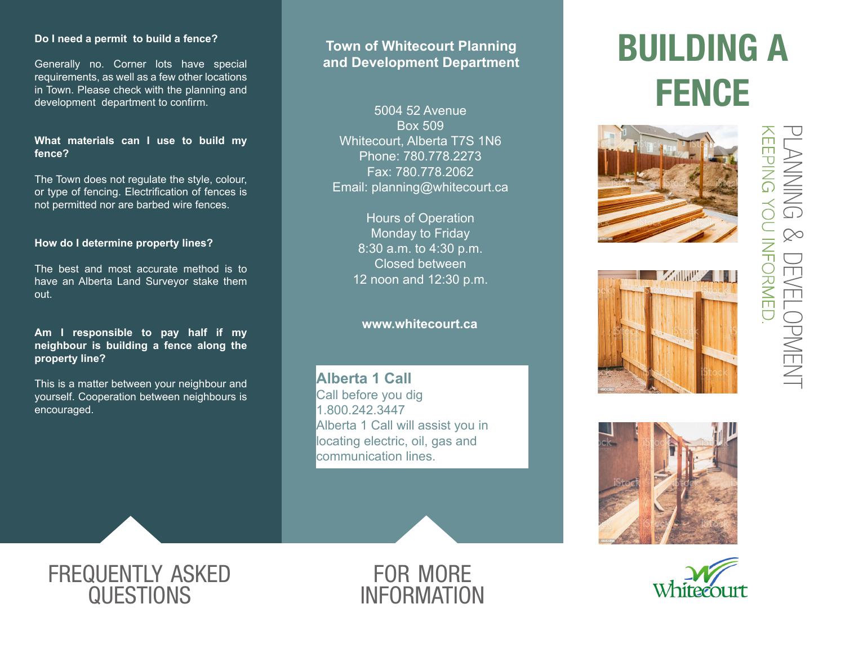# **Do I need a permit to build a fence?**

Generally no. Corner lots have special requirements, as well as a few other locations in Town. Please check with the planning and development department to confirm.

### **What materials can I use to build my fence?**

The Town does not regulate the style, colour, or type of fencing. Electrification of fences is not permitted nor are barbed wire fences.

# **How do I determine property lines?**

The best and most accurate method is to have an Alberta Land Surveyor stake them out.

# **Am I responsible to pay half if my neighbour is building a fence along the property line?**

This is a matter between your neighbour and yourself. Cooperation between neighbours is encouraged.

# **Town of Whitecourt Planning and Development Department**

5004 52 Avenue Box 509 Whitecourt, Alberta T7S 1N6 Phone: 780.778.2273 Fax: 780.778.2062 Email: planning@whitecourt.ca

> Hours of Operation Monday to Friday 8:30 a.m. to 4:30 p.m. Closed between 12 noon and 12:30 p.m.

# **www.whitecourt.ca**

**Alberta 1 Call** Call before you dig 1.800.242.3447 Alberta 1 Call will assist you in locating electric, oil, gas and communication lines.



# BUILDING A **FENCE**





keeping you informed. planning **CEPINEDIAL AND INTO AN ARRIVED**  $\infty$ development **DEVELOPMENT** 





# frequently asked **QUESTIONS**